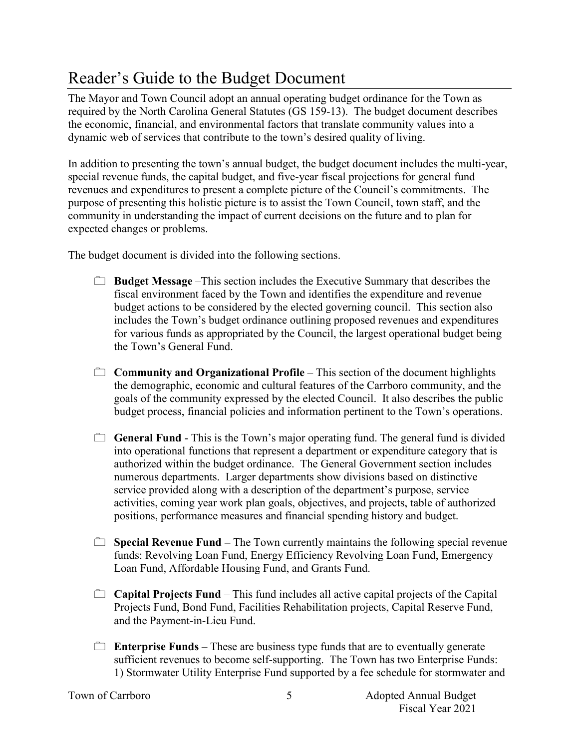## Reader's Guide to the Budget Document

The Mayor and Town Council adopt an annual operating budget ordinance for the Town as required by the North Carolina General Statutes (GS 159-13). The budget document describes the economic, financial, and environmental factors that translate community values into a dynamic web of services that contribute to the town's desired quality of living.

In addition to presenting the town's annual budget, the budget document includes the multi-year, special revenue funds, the capital budget, and five-year fiscal projections for general fund revenues and expenditures to present a complete picture of the Council's commitments. The purpose of presenting this holistic picture is to assist the Town Council, town staff, and the community in understanding the impact of current decisions on the future and to plan for expected changes or problems.

The budget document is divided into the following sections.

- **Budget Message** –This section includes the Executive Summary that describes the fiscal environment faced by the Town and identifies the expenditure and revenue budget actions to be considered by the elected governing council. This section also includes the Town's budget ordinance outlining proposed revenues and expenditures for various funds as appropriated by the Council, the largest operational budget being the Town's General Fund.
- **Community and Organizational Profile** This section of the document highlights the demographic, economic and cultural features of the Carrboro community, and the goals of the community expressed by the elected Council. It also describes the public budget process, financial policies and information pertinent to the Town's operations.
- **General Fund** This is the Town's major operating fund. The general fund is divided into operational functions that represent a department or expenditure category that is authorized within the budget ordinance. The General Government section includes numerous departments. Larger departments show divisions based on distinctive service provided along with a description of the department's purpose, service activities, coming year work plan goals, objectives, and projects, table of authorized positions, performance measures and financial spending history and budget.
- **Special Revenue Fund** The Town currently maintains the following special revenue funds: Revolving Loan Fund, Energy Efficiency Revolving Loan Fund, Emergency Loan Fund, Affordable Housing Fund, and Grants Fund.
- **Capital Projects Fund** This fund includes all active capital projects of the Capital Projects Fund, Bond Fund, Facilities Rehabilitation projects, Capital Reserve Fund, and the Payment-in-Lieu Fund.
- **Enterprise Funds** These are business type funds that are to eventually generate sufficient revenues to become self-supporting. The Town has two Enterprise Funds: 1) Stormwater Utility Enterprise Fund supported by a fee schedule for stormwater and

5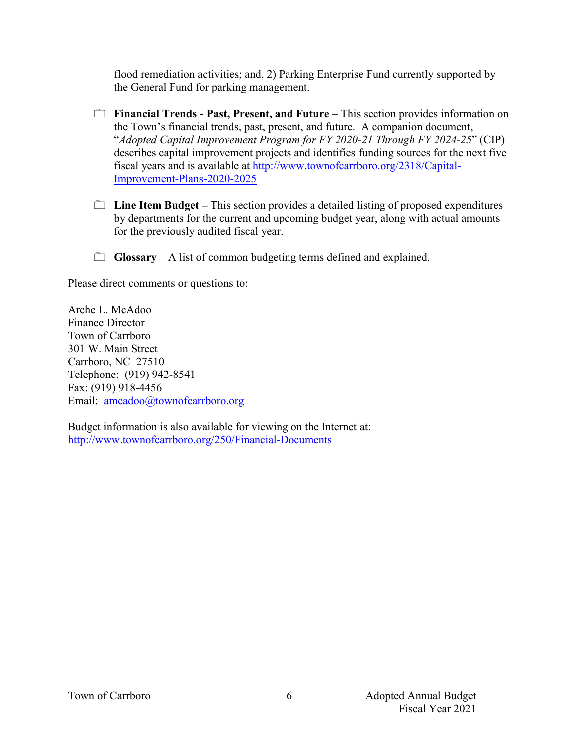flood remediation activities; and, 2) Parking Enterprise Fund currently supported by the General Fund for parking management.

- **Financial Trends Past, Present, and Future** This section provides information on the Town's financial trends, past, present, and future. A companion document, "*Adopted Capital Improvement Program for FY 2020-21 Through FY 2024-25*" (CIP) describes capital improvement projects and identifies funding sources for the next five fiscal years and is available at http://www.townofcarrboro.org/2318/Capital-Improvement-Plans-2020-2025
- **Line Item Budget –** This section provides a detailed listing of proposed expenditures by departments for the current and upcoming budget year, along with actual amounts for the previously audited fiscal year.
- **Glossary** A list of common budgeting terms defined and explained.

Please direct comments or questions to:

Arche L. McAdoo Finance Director Town of Carrboro 301 W. Main Street Carrboro, NC 27510 Telephone: (919) 942-8541 Fax: (919) 918-4456 Email: amcadoo@townofcarrboro.org

Budget information is also available for viewing on the Internet at: http://www.townofcarrboro.org/250/Financial-Documents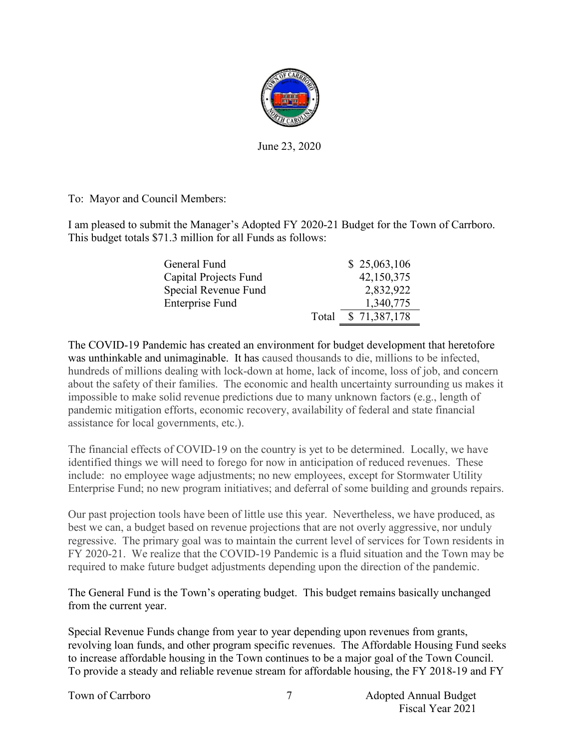

June 23, 2020

To: Mayor and Council Members:

I am pleased to submit the Manager's Adopted FY 2020-21 Budget for the Town of Carrboro. This budget totals \$71.3 million for all Funds as follows:

| General Fund          |       | \$25,063,106 |
|-----------------------|-------|--------------|
| Capital Projects Fund |       | 42,150,375   |
| Special Revenue Fund  |       | 2,832,922    |
| Enterprise Fund       |       | 1,340,775    |
|                       | Total | \$71,387,178 |

The COVID-19 Pandemic has created an environment for budget development that heretofore was unthinkable and unimaginable. It has caused thousands to die, millions to be infected, hundreds of millions dealing with lock-down at home, lack of income, loss of job, and concern about the safety of their families. The economic and health uncertainty surrounding us makes it impossible to make solid revenue predictions due to many unknown factors (e.g., length of pandemic mitigation efforts, economic recovery, availability of federal and state financial assistance for local governments, etc.).

The financial effects of COVID-19 on the country is yet to be determined. Locally, we have identified things we will need to forego for now in anticipation of reduced revenues. These include: no employee wage adjustments; no new employees, except for Stormwater Utility Enterprise Fund; no new program initiatives; and deferral of some building and grounds repairs.

Our past projection tools have been of little use this year. Nevertheless, we have produced, as best we can, a budget based on revenue projections that are not overly aggressive, nor unduly regressive. The primary goal was to maintain the current level of services for Town residents in FY 2020-21. We realize that the COVID-19 Pandemic is a fluid situation and the Town may be required to make future budget adjustments depending upon the direction of the pandemic.

The General Fund is the Town's operating budget. This budget remains basically unchanged from the current year.

Special Revenue Funds change from year to year depending upon revenues from grants, revolving loan funds, and other program specific revenues. The Affordable Housing Fund seeks to increase affordable housing in the Town continues to be a major goal of the Town Council. To provide a steady and reliable revenue stream for affordable housing, the FY 2018-19 and FY

Town of Carrboro **Adopted Annual Budget** 7 Adopted Annual Budget Fiscal Year 2021

7